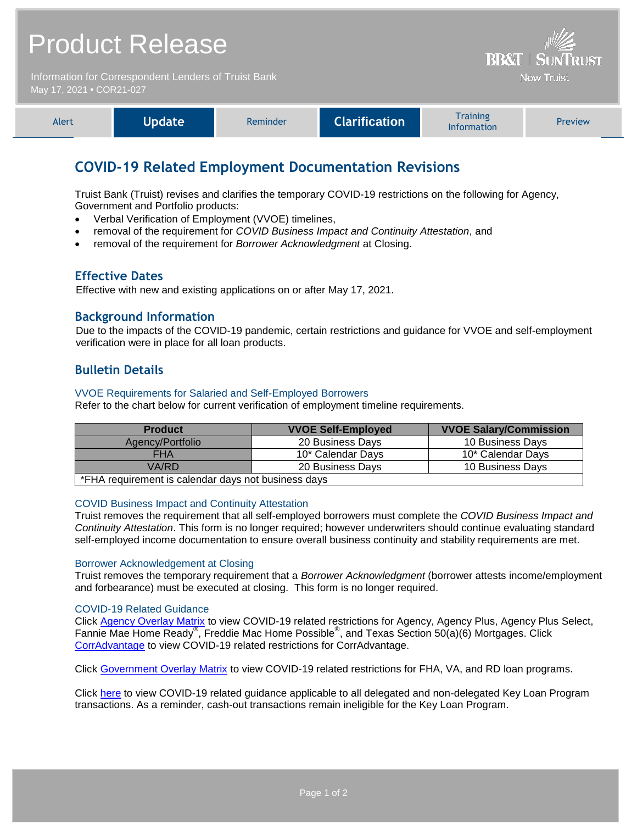# Product Release

Information for Correspondent Lenders of Truist Bank May 17, 2021 **•** COR21-027

| <b>Alert</b> | <b>Npdate</b> | Reminder | <b>Clarification</b> | <b>Training</b><br><b>Information</b> | <b>Preview</b> |
|--------------|---------------|----------|----------------------|---------------------------------------|----------------|
|              |               |          |                      |                                       |                |

**BB&T | SUNTRUST Now Truist** 

# **COVID-19 Related Employment Documentation Revisions**

Truist Bank (Truist) revises and clarifies the temporary COVID-19 restrictions on the following for Agency, Government and Portfolio products:

- Verbal Verification of Employment (VVOE) timelines,
- removal of the requirement for *COVID Business Impact and Continuity Attestation*, and
- removal of the requirement for *Borrower Acknowledgment* at Closing.

## **Effective Dates**

Effective with new and existing applications on or after May 17, 2021.

# **Background Information**

Due to the impacts of the COVID-19 pandemic, certain restrictions and guidance for VVOE and self-employment verification were in place for all loan products.

# **Bulletin Details**

#### VVOE Requirements for Salaried and Self-Employed Borrowers

Refer to the chart below for current verification of employment timeline requirements.

| <b>Product</b>                                      | <b>VVOE Self-Employed</b> | <b>VVOE Salary/Commission</b> |  |  |
|-----------------------------------------------------|---------------------------|-------------------------------|--|--|
| Agency/Portfolio                                    | 20 Business Days          | 10 Business Days              |  |  |
| <b>FHA</b>                                          | 10* Calendar Days         | 10* Calendar Days             |  |  |
| VA/RD                                               | 20 Business Days          | 10 Business Days              |  |  |
| *FHA requirement is calendar days not business days |                           |                               |  |  |

#### COVID Business Impact and Continuity Attestation

Truist removes the requirement that all self-employed borrowers must complete the *COVID Business Impact and Continuity Attestation*. This form is no longer required; however underwriters should continue evaluating standard self-employed income documentation to ensure overall business continuity and stability requirements are met.

#### Borrower Acknowledgement at Closing

Truist removes the temporary requirement that a *Borrower Acknowledgment* (borrower attests income/employment and forbearance) must be executed at closing. This form is no longer required.

## COVID-19 Related Guidance

Click [Agency Overlay Matrix](https://www.truistsellerguide.com/manual/cor/products/CAgencyCreditOverlays.pdf) to view COVID-19 related restrictions for Agency, Agency Plus, Agency Plus Select, Fannie Mae Home Ready®, Freddie Mac Home Possible®, and Texas Section 50(a)(6) Mortgages. Click [CorrAdvantage](https://www.truistsellerguide.com/Manual/cor/products/CorrAdvantage.pdf) to view COVID-19 related restrictions for CorrAdvantage.

Click [Government Overlay Matrix](http://www.truistsellerguide.com/manual/cor/products/CGovtCreditOverlays.pdf) to view COVID-19 related restrictions for FHA, VA, and RD loan programs.

Click [here](https://www.truistsellerguide.com/manual/cor/products/Cr21-027COVID.pdf) to view COVID-19 related guidance applicable to all delegated and non-delegated Key Loan Program transactions. As a reminder, cash-out transactions remain ineligible for the Key Loan Program.